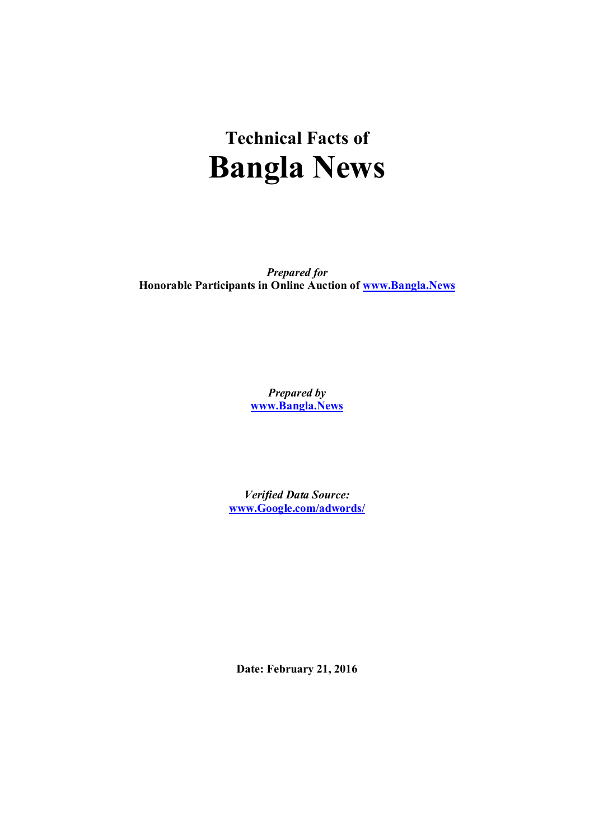# **Technical Facts of Bangla News**

*Prepared for* **Honorable Participants in Online Auction of www.Bangla.News**

> *Prepared by* **www.Bangla.News**

*Verified Data Source:* **www.Google.com/adwords/**

**Date: February 21, 2016**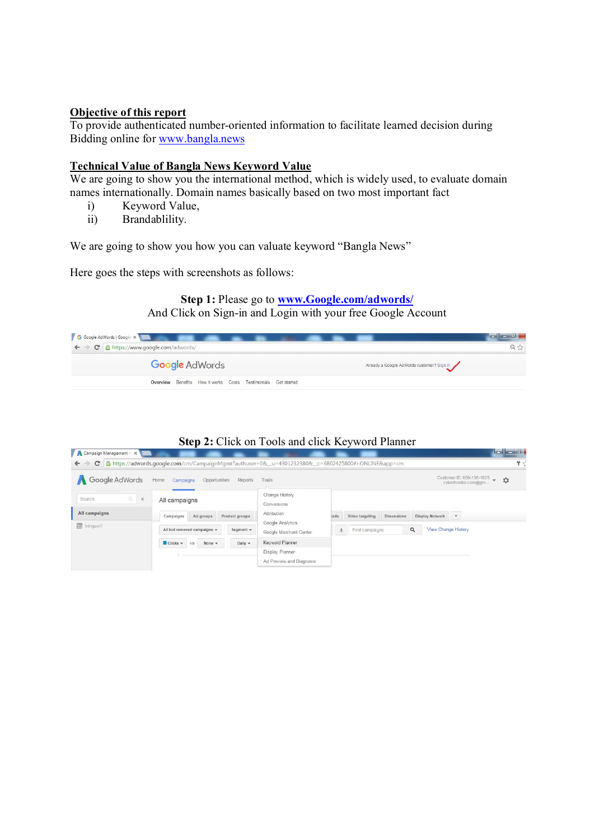## **Objective of this report**

To provide authenticated number-oriented information to facilitate learned decision during Bidding online for www.bangla.news

#### **Technical Value of Bangla News Keyword Value**

We are going to show you the international method, which is widely used, to evaluate domain names internationally. Domain names basically based on two most important fact

- i) Keyword Value,
- ii) Brandablility.

We are going to show you how you can valuate keyword "Bangla News"

Here goes the steps with screenshots as follows:

## **Step 1:** Please go to **www.Google.com/adwords/** And Click on Sign-in and Login with your free Google Account



### **Step 2:** Click on Tools and click Keyword Planner

| Google AdWords        | Home<br>Opportunities<br>Campaigns     | Reports         | Tools                           |                |                 |                   | Customer ID: 606-135-1025<br>$\circ$<br>cyberhostbd.com@gm |
|-----------------------|----------------------------------------|-----------------|---------------------------------|----------------|-----------------|-------------------|------------------------------------------------------------|
| a.<br>Search<br>$\ll$ | All campaigns                          |                 | Change History<br>Conversions   |                |                 |                   |                                                            |
| All campaigns         | Ad groups<br>Campaigns                 | Product groups  | Attribution<br>Google Analytics | brds           | Video targeting | <b>Dimensions</b> | Display Network T                                          |
| <b>c</b> IntriguelT   | All but removed campaigns =            | Segment $\star$ | Google Merchant Center          | $\overline{+}$ | Find campaigns  | Q                 | View Change History                                        |
|                       | $Clicks$ $\star$<br>None $\sim$<br>VS. | Daily v         | <b>Keyword Planner</b>          |                |                 |                   |                                                            |
|                       |                                        |                 | Display Planner                 |                |                 |                   |                                                            |
|                       |                                        |                 | Ad Preview and Diagnosis        |                |                 |                   |                                                            |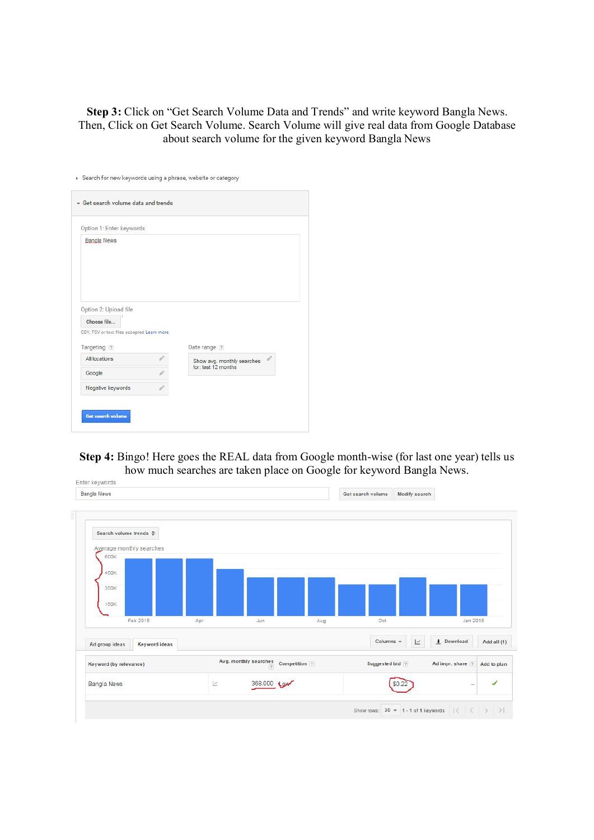**Step 3:** Click on "Get Search Volume Data and Trends" and write keyword Bangla News. Then, Click on Get Search Volume. Search Volume will give real data from Google Database about search volume for the given keyword Bangla News

|                                                           | Option 1: Enter keywords |                            |
|-----------------------------------------------------------|--------------------------|----------------------------|
| <b>Bangla News</b>                                        |                          |                            |
|                                                           |                          |                            |
|                                                           |                          |                            |
| Option 2: Upload file                                     |                          |                            |
| Choose file                                               |                          |                            |
|                                                           |                          |                            |
|                                                           |                          |                            |
| CSV, TSV or text files accepted Learn more<br>Targeting ? |                          | Date range 7               |
| All locations                                             |                          | Show avg. monthly searches |
| Google                                                    |                          | for: last 12 months        |

**Step 4:** Bingo! Here goes the REAL data from Google month-wise (for last one year) tells us how much searches are taken place on Google for keyword Bangla News.

|                                 | Modify search | Get search volume |               |                                     |     |                      | Bangla News                                                                   |
|---------------------------------|---------------|-------------------|---------------|-------------------------------------|-----|----------------------|-------------------------------------------------------------------------------|
|                                 |               |                   |               |                                     |     |                      | Search volume trends $\hat{\div}$<br>Average monthly searches<br>600K<br>450K |
|                                 |               |                   |               |                                     |     |                      | 300K                                                                          |
| Jan 2016                        |               | Oct               | Aug           | Jun                                 | Apr | Feb 2015             | 150K                                                                          |
| + Download<br>Add all (1)       | $\square$     | Columns =         |               |                                     |     | <b>Keyword ideas</b> | Ad group ideas                                                                |
| Ad impr. share ?<br>Add to plan |               | Suggested bid 7   | Competition ? | Avg. monthly searches<br>$\sqrt{7}$ |     |                      | Keyword (by relevance)                                                        |